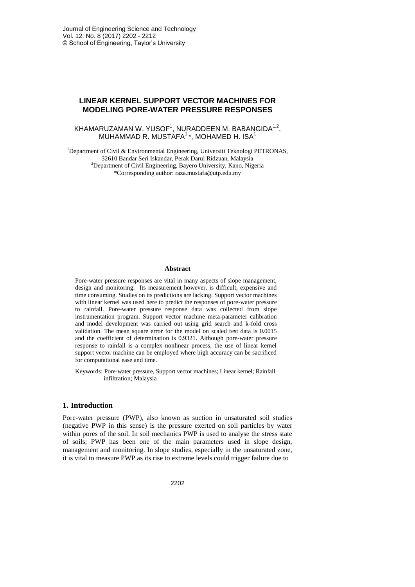# **LINEAR KERNEL SUPPORT VECTOR MACHINES FOR MODELING PORE-WATER PRESSURE RESPONSES**

## KHAMARUZAMAN W. YUSOF<sup>1</sup>, NURADDEEN M. BABANGIDA $^{1,2}$ , MUHAMMAD R. MUSTAFA $1, \star$ , MOHAMED H. ISA $^1$

<sup>1</sup>Department of Civil & Environmental Engineering, Universiti Teknologi PETRONAS, 32610 Bandar Seri Iskandar, Perak Darul Ridzuan, Malaysia <sup>2</sup>Department of Civil Engineering, Bayero University, Kano, Nigeria \*Corresponding author: raza.mustafa@utp.edu.my

#### **Abstract**

Pore-water pressure responses are vital in many aspects of slope management, design and monitoring. Its measurement however, is difficult, expensive and time consuming. Studies on its predictions are lacking. Support vector machines with linear kernel was used here to predict the responses of pore-water pressure to rainfall. Pore-water pressure response data was collected from slope instrumentation program. Support vector machine meta-parameter calibration and model development was carried out using grid search and k-fold cross validation. The mean square error for the model on scaled test data is 0.0015 and the coefficient of determination is 0.9321. Although pore-water pressure response to rainfall is a complex nonlinear process, the use of linear kernel support vector machine can be employed where high accuracy can be sacrificed for computational ease and time.

Keywords: Pore-water pressure, Support vector machines; Linear kernel; Rainfall infiltration; Malaysia

## **1. Introduction**

Pore-water pressure (PWP), also known as suction in unsaturated soil studies (negative PWP in this sense) is the pressure exerted on soil particles by water within pores of the soil. In soil mechanics PWP is used to analyse the stress state of soils; PWP has been one of the main parameters used in slope design, management and monitoring. In slope studies, especially in the unsaturated zone, it is vital to measure PWP as its rise to extreme levels could trigger failure due to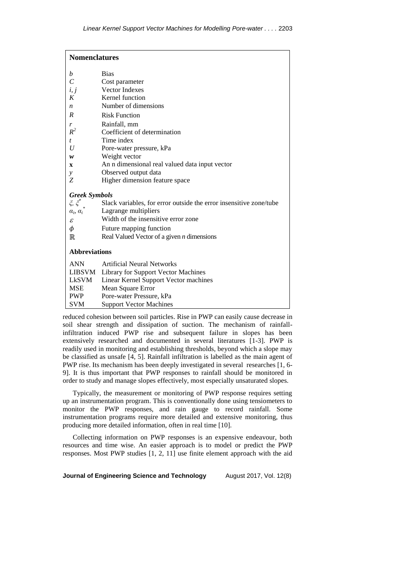| <b>Nomenclatures</b>              |                                                                    |  |  |  |
|-----------------------------------|--------------------------------------------------------------------|--|--|--|
| b                                 | <b>Bias</b>                                                        |  |  |  |
| $\mathcal{C}$                     | Cost parameter                                                     |  |  |  |
| i, j                              | Vector Indexes                                                     |  |  |  |
| K                                 | Kernel function                                                    |  |  |  |
| $\boldsymbol{n}$                  | Number of dimensions                                               |  |  |  |
| $\boldsymbol{R}$                  | <b>Risk Function</b>                                               |  |  |  |
| r                                 | Rainfall, mm                                                       |  |  |  |
| $R^2$                             | Coefficient of determination                                       |  |  |  |
| $\mathfrak{t}$                    | Time index                                                         |  |  |  |
| U                                 | Pore-water pressure, kPa                                           |  |  |  |
| w                                 | Weight vector                                                      |  |  |  |
| $\mathbf{x}$                      | An n dimensional real valued data input vector                     |  |  |  |
| y                                 | Observed output data                                               |  |  |  |
| Z                                 | Higher dimension feature space                                     |  |  |  |
| <b>Greek Symbols</b>              |                                                                    |  |  |  |
| $\xi,\,\xi^*$                     | Slack variables, for error outside the error insensitive zone/tube |  |  |  |
| $\alpha_i, \alpha_i$ <sup>*</sup> | Lagrange multipliers                                               |  |  |  |
| $\mathcal E$                      | Width of the insensitive error zone                                |  |  |  |
| φ                                 | Future mapping function                                            |  |  |  |
| $\mathbb{R}$                      | Real Valued Vector of a given $n$ dimensions                       |  |  |  |
|                                   |                                                                    |  |  |  |
| <b>Abbreviations</b>              |                                                                    |  |  |  |
| <b>ANN</b>                        | <b>Artificial Neural Networks</b>                                  |  |  |  |
|                                   | LIBSVM Library for Support Vector Machines                         |  |  |  |
| LkSVM                             | Linear Kernel Support Vector machines                              |  |  |  |
| <b>MSE</b>                        | Mean Square Error                                                  |  |  |  |
| <b>PWP</b>                        | Pore-water Pressure, kPa                                           |  |  |  |
| <b>SVM</b>                        | <b>Support Vector Machines</b>                                     |  |  |  |

reduced cohesion between soil particles. Rise in PWP can easily cause decrease in soil shear strength and dissipation of suction. The mechanism of rainfallinfiltration induced PWP rise and subsequent failure in slopes has been extensively researched and documented in several literatures [1-3]. PWP is readily used in monitoring and establishing thresholds, beyond which a slope may be classified as unsafe [4, 5]. Rainfall infiltration is labelled as the main agent of PWP rise. Its mechanism has been deeply investigated in several researches [1, 6- 9]. It is thus important that PWP responses to rainfall should be monitored in order to study and manage slopes effectively, most especially unsaturated slopes.

Typically, the measurement or monitoring of PWP response requires setting up an instrumentation program. This is conventionally done using tensiometers to monitor the PWP responses, and rain gauge to record rainfall. Some instrumentation programs require more detailed and extensive monitoring, thus producing more detailed information, often in real time [10].

Collecting information on PWP responses is an expensive endeavour, both resources and time wise. An easier approach is to model or predict the PWP responses. Most PWP studies [1, 2, 11] use finite element approach with the aid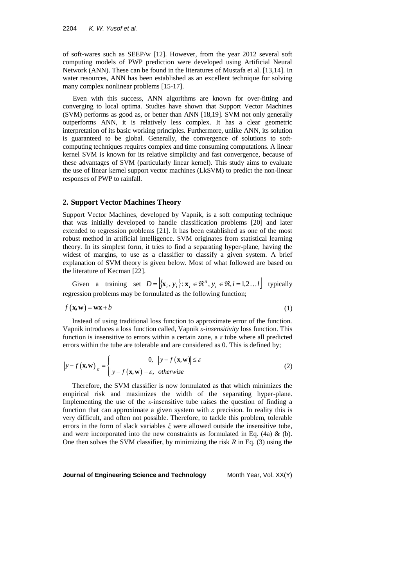of soft-wares such as SEEP/w [12]. However, from the year 2012 several soft computing models of PWP prediction were developed using Artificial Neural Network (ANN). These can be found in the literatures of Mustafa et al. [13,14]. In water resources, ANN has been established as an excellent technique for solving many complex nonlinear problems [15-17].

Even with this success, ANN algorithms are known for over-fitting and converging to local optima. Studies have shown that Support Vector Machines (SVM) performs as good as, or better than ANN [18,19]. SVM not only generally outperforms ANN, it is relatively less complex. It has a clear geometric interpretation of its basic working principles. Furthermore, unlike ANN, its solution is guaranteed to be global. Generally, the convergence of solutions to softcomputing techniques requires complex and time consuming computations. A linear kernel SVM is known for its relative simplicity and fast convergence, because of these advantages of SVM (particularly linear kernel). This study aims to evaluate the use of linear kernel support vector machines (LkSVM) to predict the non-linear responses of PWP to rainfall.

#### **2. Support Vector Machines Theory**

Support Vector Machines, developed by Vapnik, is a soft computing technique that was initially developed to handle classification problems [20] and later extended to regression problems [21]. It has been established as one of the most robust method in artificial intelligence. SVM originates from statistical learning theory. In its simplest form, it tries to find a separating hyper-plane, having the widest of margins, to use as a classifier to classify a given system. A brief explanation of SVM theory is given below. Most of what followed are based on the literature of Kecman [22].

Given a training set  $D = [\mathbf{x}_i, y_i] : \mathbf{x}_i \in \mathbb{R}^n, y_i \in \mathbb{R}, i = 1, 2, \dots l]$  typically regression problems may be formulated as the following function;

$$
f(\mathbf{x}, \mathbf{w}) = \mathbf{w}\mathbf{x} + b \tag{1}
$$

Instead of using traditional loss function to approximate error of the function. Vapnik introduces a loss function called, Vapnik *ε-insensitivity* loss function. This function is insensitive to errors within a certain zone, a *ε* tube where all predicted

errors within the tube are tolerable and are considered as 0. This is defined by;  
\n
$$
|y - f(\mathbf{x}, \mathbf{w})|_{\varepsilon} = \begin{cases} 0, & |y - f(\mathbf{x}, \mathbf{w})| \le \varepsilon \\ |y - f(\mathbf{x}, \mathbf{w})| - \varepsilon, & otherwise \end{cases}
$$
\n(2)

Therefore, the SVM classifier is now formulated as that which minimizes the empirical risk and maximizes the width of the separating hyper-plane. Implementing the use of the *ε-*insensitive tube raises the question of finding a function that can approximate a given system with *ε* precision. In reality this is very difficult, and often not possible. Therefore, to tackle this problem, tolerable errors in the form of slack variables *ξ* were allowed outside the insensitive tube, and were incorporated into the new constraints as formulated in Eq.  $(4a) \& (b)$ . One then solves the SVM classifier, by minimizing the risk *R* in Eq. (3) using the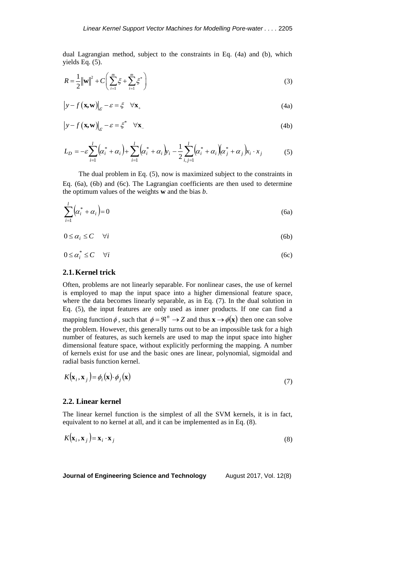dual Lagrangian method, subject to the constraints in Eq. (4a) and (b), which yields Eq. (5).

$$
R = \frac{1}{2} \|\mathbf{w}\|^2 + C \left( \sum_{i=1}^m \xi + \sum_{i=1}^m \xi^* \right)
$$
 (3)

$$
\left| y - f\left(\mathbf{x}, \mathbf{w}\right) \right|_{\mathcal{E}} - \mathcal{E} = \xi \quad \forall \mathbf{x}_{+}
$$
\n(4a)

$$
\left| y - f\left(\mathbf{x}, \mathbf{w}\right) \right|_{\mathcal{E}} - \varepsilon = \zeta^* \quad \forall \mathbf{x} \tag{4b}
$$

$$
L_D = -\varepsilon \sum_{i=1}^{l} (\alpha_i^* + \alpha_i) + \sum_{i=1}^{l} (\alpha_i^* + \alpha_i) y_i - \frac{1}{2} \sum_{i,j=1}^{l} (\alpha_i^* + \alpha_i) (\alpha_j^* + \alpha_j) x_i \cdot x_j
$$
(5)

The dual problem in Eq. (5), now is maximized subject to the constraints in Eq. (6a), (6b) and (6c). The Lagrangian coefficients are then used to determine the optimum values of the weights **w** and the bias *b*.

$$
\sum_{i=1}^{l} \left( \alpha_i^* + \alpha_i \right) = 0 \tag{6a}
$$

$$
0 \le \alpha_i \le C \quad \forall i \tag{6b}
$$

$$
0 \le \alpha_i^* \le C \quad \forall i \tag{6c}
$$

# **2.1.Kernel trick**

Often, problems are not linearly separable. For nonlinear cases, the use of kernel is employed to map the input space into a higher dimensional feature space, where the data becomes linearly separable, as in Eq. (7). In the dual solution in Eq. (5), the input features are only used as inner products. If one can find a mapping function  $\phi$ , such that  $\phi = \mathbb{R}^n \to Z$  and thus  $\mathbf{x} \to \phi(\mathbf{x})$  then one can solve the problem. However, this generally turns out to be an impossible task for a high number of features, as such kernels are used to map the input space into higher dimensional feature space, without explicitly performing the mapping. A number of kernels exist for use and the basic ones are linear, polynomial, sigmoidal and radial basis function kernel.

$$
K(\mathbf{x}_i, \mathbf{x}_j) = \phi_i(\mathbf{x}) \cdot \phi_j(\mathbf{x})
$$
\n(7)

## **2.2. Linear kernel**

 $\mathbf{v}$ 

The linear kernel function is the simplest of all the SVM kernels, it is in fact, equivalent to no kernel at all, and it can be implemented as in Eq. (8).

$$
K(\mathbf{x}_i, \mathbf{x}_j) = \mathbf{x}_i \cdot \mathbf{x}_j \tag{8}
$$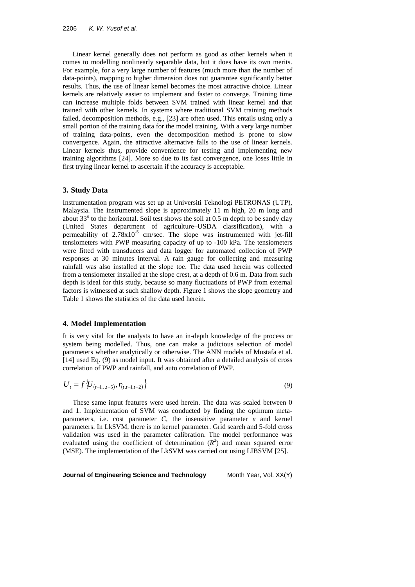Linear kernel generally does not perform as good as other kernels when it comes to modelling nonlinearly separable data, but it does have its own merits. For example, for a very large number of features (much more than the number of data-points), mapping to higher dimension does not guarantee significantly better results. Thus, the use of linear kernel becomes the most attractive choice. Linear kernels are relatively easier to implement and faster to converge. Training time can increase multiple folds between SVM trained with linear kernel and that trained with other kernels. In systems where traditional SVM training methods failed, decomposition methods, e.g., [23] are often used. This entails using only a small portion of the training data for the model training. With a very large number of training data-points, even the decomposition method is prone to slow convergence. Again, the attractive alternative falls to the use of linear kernels. Linear kernels thus, provide convenience for testing and implementing new training algorithms [24]. More so due to its fast convergence, one loses little in first trying linear kernel to ascertain if the accuracy is acceptable.

### **3. Study Data**

Instrumentation program was set up at Universiti Teknologi PETRONAS (UTP), Malaysia. The instrumented slope is approximately 11 m high, 20 m long and about 33° to the horizontal. Soil test shows the soil at 0.5 m depth to be sandy clay (United States department of agriculture–USDA classification), with a permeability of  $2.78 \times 10^{-5}$  cm/sec. The slope was instrumented with jet-fill tensiometers with PWP measuring capacity of up to -100 kPa. The tensiometers were fitted with transducers and data logger for automated collection of PWP responses at 30 minutes interval. A rain gauge for collecting and measuring rainfall was also installed at the slope toe. The data used herein was collected from a tensiometer installed at the slope crest, at a depth of 0.6 m. Data from such depth is ideal for this study, because so many fluctuations of PWP from external factors is witnessed at such shallow depth. Figure 1 shows the slope geometry and Table 1 shows the statistics of the data used herein.

### **4. Model Implementation**

It is very vital for the analysts to have an in-depth knowledge of the process or system being modelled. Thus, one can make a judicious selection of model parameters whether analytically or otherwise. The ANN models of Mustafa et al. [14] used Eq. (9) as model input. It was obtained after a detailed analysis of cross correlation of PWP and rainfall, and auto correlation of PWP.

$$
U_t = f\{U_{(t-1..t-5)}, r_{(t,t-1,t-2)}\}\tag{9}
$$

These same input features were used herein. The data was scaled between 0 and 1. Implementation of SVM was conducted by finding the optimum metaparameters, i.e. cost parameter *C*, the insensitive parameter *ε* and kernel parameters. In LkSVM, there is no kernel parameter. Grid search and 5-fold cross validation was used in the parameter calibration. The model performance was evaluated using the coefficient of determination  $(R^2)$  and mean squared error (MSE). The implementation of the LkSVM was carried out using LIBSVM [25].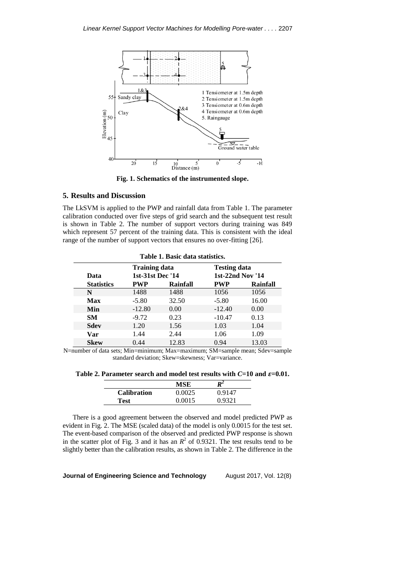

**Fig. 1. Schematics of the instrumented slope.**

## **5. Results and Discussion**

The LkSVM is applied to the PWP and rainfall data from Table 1. The parameter calibration conducted over five steps of grid search and the subsequent test result is shown in Table 2. The number of support vectors during training was 849 which represent 57 percent of the training data. This is consistent with the ideal range of the number of support vectors that ensures no over-fitting [26].

| Table 1. Basic data statistics. |                      |          |                     |          |  |  |  |
|---------------------------------|----------------------|----------|---------------------|----------|--|--|--|
|                                 | <b>Training data</b> |          | <b>Testing data</b> |          |  |  |  |
| Data                            | 1st-31st Dec '14     |          | 1st-22nd Nov '14    |          |  |  |  |
| <b>Statistics</b>               | <b>PWP</b>           | Rainfall | <b>PWP</b>          | Rainfall |  |  |  |
| N                               | 1488                 | 1488     | 1056                | 1056     |  |  |  |
| Max                             | $-5.80$              | 32.50    | $-5.80$             | 16.00    |  |  |  |
| Min                             | $-12.80$             | 0.00     | $-12.40$            | 0.00     |  |  |  |
| SM.                             | $-9.72$              | 0.23     | $-10.47$            | 0.13     |  |  |  |
| <b>Sdev</b>                     | 1.20                 | 1.56     | 1.03                | 1.04     |  |  |  |
| Var                             | 1.44                 | 2.44     | 1.06                | 1.09     |  |  |  |
| <b>Skew</b>                     | 0.44                 | 12.83    | 0.94                | 13.03    |  |  |  |

N=number of data sets; Min=minimum; Max=maximum; SM=sample mean; Sdev=sample standard deviation; Skew=skewness; Var=variance.

Table 2. Parameter search and model test results with  $C=10$  and  $\varepsilon=0.01$ .

|                    | MSE    | R∸     |  |
|--------------------|--------|--------|--|
| <b>Calibration</b> | 0.0025 | 0.9147 |  |
| Test               | 0.0015 | 0.9321 |  |

There is a good agreement between the observed and model predicted PWP as evident in Fig. 2. The MSE (scaled data) of the model is only 0.0015 for the test set. The event-based comparison of the observed and predicted PWP response is shown in the scatter plot of Fig. 3 and it has an  $R^2$  of 0.9321. The test results tend to be slightly better than the calibration results, as shown in Table 2. The difference in the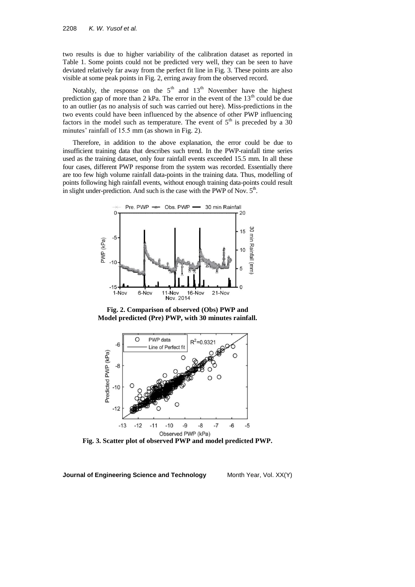two results is due to higher variability of the calibration dataset as reported in Table 1. Some points could not be predicted very well, they can be seen to have deviated relatively far away from the perfect fit line in Fig. 3. These points are also visible at some peak points in Fig. 2, erring away from the observed record.

Notably, the response on the  $5<sup>th</sup>$  and  $13<sup>th</sup>$  November have the highest prediction gap of more than 2 kPa. The error in the event of the  $13<sup>th</sup>$  could be due to an outlier (as no analysis of such was carried out here). Miss-predictions in the two events could have been influenced by the absence of other PWP influencing factors in the model such as temperature. The event of  $5<sup>th</sup>$  is preceded by a 30 minutes' rainfall of 15.5 mm (as shown in Fig. 2).

Therefore, in addition to the above explanation, the error could be due to insufficient training data that describes such trend. In the PWP-rainfall time series used as the training dataset, only four rainfall events exceeded 15.5 mm. In all these four cases, different PWP response from the system was recorded. Essentially there are too few high volume rainfall data-points in the training data. Thus, modelling of points following high rainfall events, without enough training data-points could result in slight under-prediction. And such is the case with the PWP of Nov.  $5<sup>th</sup>$ .



**Fig. 2. Comparison of observed (Obs) PWP and Model predicted (Pre) PWP, with 30 minutes rainfall.**



**Fig. 3. Scatter plot of observed PWP and model predicted PWP.**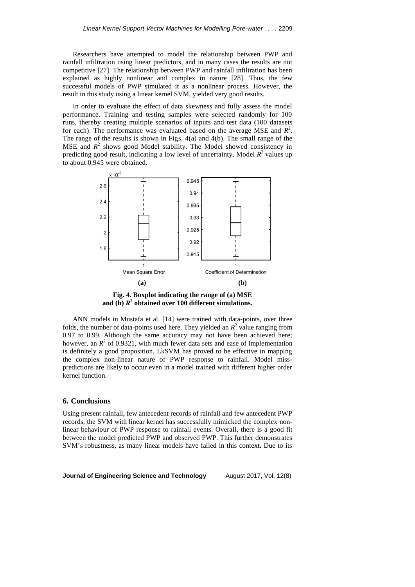Researchers have attempted to model the relationship between PWP and rainfall infiltration using linear predictors, and in many cases the results are not competitive [27]. The relationship between PWP and rainfall infiltration has been explained as highly nonlinear and complex in nature [28]. Thus, the few successful models of PWP simulated it as a nonlinear process. However, the result in this study using a linear kernel SVM, yielded very good results.

In order to evaluate the effect of data skewness and fully assess the model performance. Training and testing samples were selected randomly for 100 runs, thereby creating multiple scenarios of inputs and test data (100 datasets for each). The performance was evaluated based on the average MSE and  $R^2$ . The range of the results is shown in Figs. 4(a) and 4(b). The small range of the  $MSE$  and  $R^2$  shows good Model stability. The Model showed consistency in predicting good result, indicating a low level of uncertainty. Model  $R^2$  values up to about 0.945 were obtained.



**Fig. 4. Boxplot indicating the range of (a) MSE and (b)** *R* **2 obtained over 100 different simulations.**

ANN models in Mustafa et al. [14] were trained with data-points, over three folds, the number of data-points used here. They yielded an  $R^2$  value ranging from 0.97 to 0.99. Although the same accuracy may not have been achieved here; however, an  $R^2$  of 0.9321, with much fewer data sets and ease of implementation is definitely a good proposition. LkSVM has proved to be effective in mapping the complex non-linear nature of PWP response to rainfall. Model misspredictions are likely to occur even in a model trained with different higher order kernel function.

#### **6. Conclusions**

Using present rainfall, few antecedent records of rainfall and few antecedent PWP records, the SVM with linear kernel has successfully mimicked the complex nonlinear behaviour of PWP response to rainfall events. Overall, there is a good fit between the model predicted PWP and observed PWP. This further demonstrates SVM's robustness, as many linear models have failed in this context. Due to its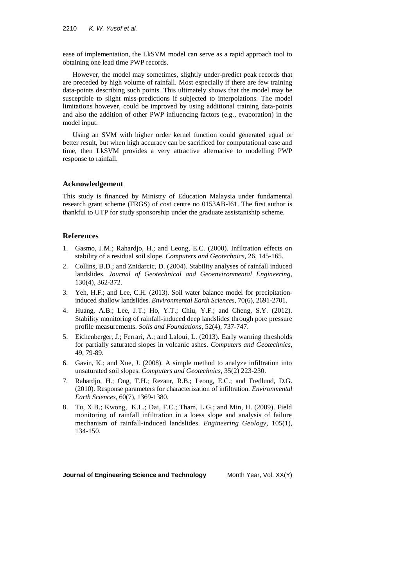ease of implementation, the LkSVM model can serve as a rapid approach tool to obtaining one lead time PWP records.

However, the model may sometimes, slightly under-predict peak records that are preceded by high volume of rainfall. Most especially if there are few training data-points describing such points. This ultimately shows that the model may be susceptible to slight miss-predictions if subjected to interpolations. The model limitations however, could be improved by using additional training data-points and also the addition of other PWP influencing factors (e.g., evaporation) in the model input.

Using an SVM with higher order kernel function could generated equal or better result, but when high accuracy can be sacrificed for computational ease and time, then LkSVM provides a very attractive alternative to modelling PWP response to rainfall.

#### **Acknowledgement**

This study is financed by Ministry of Education Malaysia under fundamental research grant scheme (FRGS) of cost centre no 0153AB-I61. The first author is thankful to UTP for study sponsorship under the graduate assistantship scheme.

#### **References**

- 1. Gasmo, J.M.; Rahardjo, H.; and Leong, E.C. (2000). Infiltration effects on stability of a residual soil slope. *Computers and Geotechnics*, 26, 145-165.
- 2. Collins, B.D.; and Znidarcic, D. (2004). Stability analyses of rainfall induced landslides. *Journal of Geotechnical and Geoenvironmental Engineering*, 130(4), 362-372.
- 3. Yeh, H.F.; and Lee, C.H. (2013). Soil water balance model for precipitationinduced shallow landslides. *Environmental Earth Sciences*, 70(6), 2691-2701.
- 4. Huang, A.B.; Lee, J.T.; Ho, Y.T.; Chiu, Y.F.; and Cheng, S.Y. (2012). Stability monitoring of rainfall-induced deep landslides through pore pressure profile measurements. *Soils and Foundations*, 52(4), 737-747.
- 5. Eichenberger, J.; Ferrari, A.; and Laloui, L. (2013). Early warning thresholds for partially saturated slopes in volcanic ashes. *Computers and Geotechnics*, 49, 79-89.
- 6. Gavin, K.; and Xue, J. (2008). A simple method to analyze infiltration into unsaturated soil slopes. *Computers and Geotechnics*, 35(2) 223-230.
- 7. Rahardjo, H.; Ong, T.H.; Rezaur, R.B.; Leong, E.C.; and Fredlund, D.G. (2010). Response parameters for characterization of infiltration. *Environmental Earth Sciences*, 60(7), 1369-1380.
- 8. Tu, X.B.; Kwong, K.L.; Dai, F.C.; Tham, L.G.; and Min, H. (2009). Field monitoring of rainfall infiltration in a loess slope and analysis of failure mechanism of rainfall-induced landslides. *Engineering Geology*, 105(1), 134-150.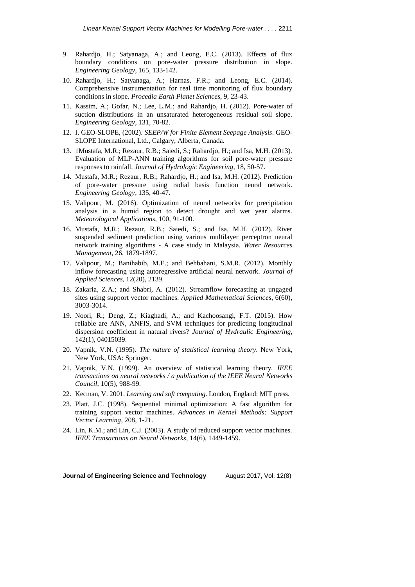- 9. Rahardjo, H.; Satyanaga, A.; and Leong, E.C. (2013). Effects of flux boundary conditions on pore-water pressure distribution in slope. *Engineering Geology*, 165, 133-142.
- 10. Rahardjo, H.; Satyanaga, A.; Harnas, F.R.; and Leong, E.C. (2014). Comprehensive instrumentation for real time monitoring of flux boundary conditions in slope. *Procedia Earth Planet Sciences*, 9, 23-43.
- 11. Kassim, A.; Gofar, N.; Lee, L.M.; and Rahardjo, H. (2012). Pore-water of suction distributions in an unsaturated heterogeneous residual soil slope. *Engineering Geology*, 131, 70-82.
- 12. I. GEO-SLOPE, (2002). *SEEP/W for Finite Element Seepage Analysis*. GEO-SLOPE International, Ltd., Calgary, Alberta, Canada.
- 13. 1Mustafa, M.R.; Rezaur, R.B.; Saiedi, S.; Rahardjo, H.; and Isa, M.H. (2013). Evaluation of MLP-ANN training algorithms for soil pore-water pressure responses to rainfall. *Journal of Hydrologic Engineering*, 18, 50-57.
- 14. Mustafa, M.R.; Rezaur, R.B.; Rahardjo, H.; and Isa, M.H. (2012). Prediction of pore-water pressure using radial basis function neural network. *Engineering Geology*, 135, 40-47.
- 15. Valipour, M. (2016). Optimization of neural networks for precipitation analysis in a humid region to detect drought and wet year alarms. *Meteorological Applications*, 100, 91-100.
- 16. Mustafa, M.R.; Rezaur, R.B.; Saiedi, S.; and Isa, M.H. (2012). River suspended sediment prediction using various multilayer perceptron neural network training algorithms - A case study in Malaysia. *Water Resources Management*, 26, 1879-1897.
- 17. Valipour, M.; Banihabib, M.E.; and Behbahani, S.M.R. (2012). Monthly inflow forecasting using autoregressive artificial neural network. *Journal of Applied Sciences,* 12(20), 2139.
- 18. Zakaria, Z.A.; and Shabri, A. (2012). Streamflow forecasting at ungaged sites using support vector machines. *Applied Mathematical Sciences*, 6(60), 3003-3014.
- 19. Noori, R.; Deng, Z.; Kiaghadi, A.; and Kachoosangi, F.T. (2015). How reliable are ANN, ANFIS, and SVM techniques for predicting longitudinal dispersion coefficient in natural rivers? *Journal of Hydraulic Engineering*, 142(1), 04015039.
- 20. Vapnik, V.N. (1995). *The nature of statistical learning theory*. New York, New York, USA: Springer.
- 21. Vapnik, V.N. (1999). An overview of statistical learning theory. *IEEE transactions on neural networks / a publication of the IEEE Neural Networks Council*, 10(5), 988-99.
- 22. Kecman, V. 2001. *Learning and soft computing*. London, England: MIT press.
- 23. Platt, J.C. (1998). Sequential minimal optimization: A fast algorithm for training support vector machines. *Advances in Kernel Methods: Support Vector Learning*, 208, 1-21.
- 24. Lin, K.M.; and Lin, C.J. (2003). A study of reduced support vector machines. *IEEE Transactions on Neural Networks*, 14(6), 1449-1459.